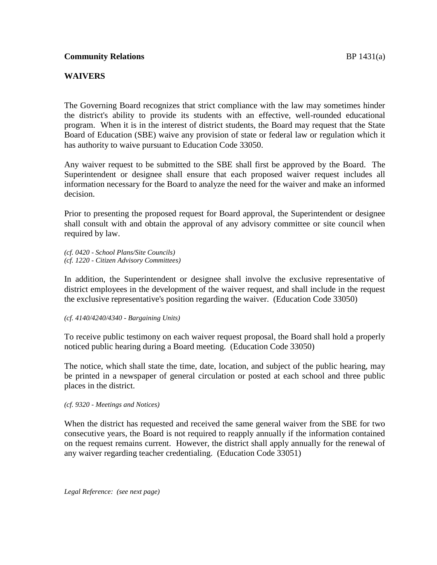## **WAIVERS**

The Governing Board recognizes that strict compliance with the law may sometimes hinder the district's ability to provide its students with an effective, well-rounded educational program. When it is in the interest of district students, the Board may request that the State Board of Education (SBE) waive any provision of state or federal law or regulation which it has authority to waive pursuant to Education Code 33050.

Any waiver request to be submitted to the SBE shall first be approved by the Board. The Superintendent or designee shall ensure that each proposed waiver request includes all information necessary for the Board to analyze the need for the waiver and make an informed decision.

Prior to presenting the proposed request for Board approval, the Superintendent or designee shall consult with and obtain the approval of any advisory committee or site council when required by law.

*(cf. 0420 - School Plans/Site Councils) (cf. 1220 - Citizen Advisory Committees)*

In addition, the Superintendent or designee shall involve the exclusive representative of district employees in the development of the waiver request, and shall include in the request the exclusive representative's position regarding the waiver. (Education Code 33050)

*(cf. 4140/4240/4340 - Bargaining Units)*

To receive public testimony on each waiver request proposal, the Board shall hold a properly noticed public hearing during a Board meeting. (Education Code 33050)

The notice, which shall state the time, date, location, and subject of the public hearing, may be printed in a newspaper of general circulation or posted at each school and three public places in the district.

*(cf. 9320 - Meetings and Notices)*

When the district has requested and received the same general waiver from the SBE for two consecutive years, the Board is not required to reapply annually if the information contained on the request remains current. However, the district shall apply annually for the renewal of any waiver regarding teacher credentialing. (Education Code 33051)

*Legal Reference: (see next page)*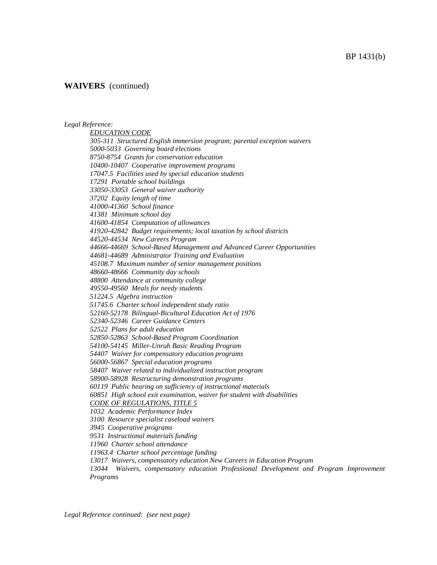### BP 1431(b)

### **WAIVERS** (continued)

#### *Legal Reference:*

*EDUCATION CODE 305-311 Structured English immersion program; parental exception waivers 5000-5033 Governing board elections 8750-8754 Grants for conservation education 10400-10407 Cooperative improvement programs 17047.5 Facilities used by special education students 17291 Portable school buildings 33050-33053 General waiver authority 37202 Equity length of time 41000-41360 School finance 41381 Minimum school day 41600-41854 Computation of allowances 41920-42842 Budget requirements; local taxation by school districts 44520-44534 New Careers Program 44666-44669 School-Based Management and Advanced Career Opportunities 44681-44689 Administrator Training and Evaluation 45108.7 Maximum number of senior management positions 48660-48666 Community day schools 48800 Attendance at community college 49550-49560 Meals for needy students 51224.5 Algebra instruction 51745.6 Charter school independent study ratio 52160-52178 Bilingual-Bicultural Education Act of 1976 52340-52346 Career Guidance Centers 52522 Plans for adult education 52850-52863 School-Based Program Coordination 54100-54145 Miller-Unruh Basic Reading Program 54407 Waiver for compensatory education programs 56000-56867 Special education programs 58407 Waiver related to individualized instruction program 58900-58928 Restructuring demonstration programs 60119 Public hearing on sufficiency of instructional materials 60851 High school exit examination, waiver for student with disabilities CODE OF REGULATIONS, TITLE 5 1032 Academic Performance Index 3100 Resource specialist caseload waivers 3945 Cooperative programs 9531 Instructional materials funding 11960 Charter school attendance 11963.4 Charter school percentage funding 13017 Waivers, compensatory education New Careers in Education Program 13044 Waivers, compensatory education Professional Development and Program Improvement* 

*Programs*

*Legal Reference continued: (see next page)*